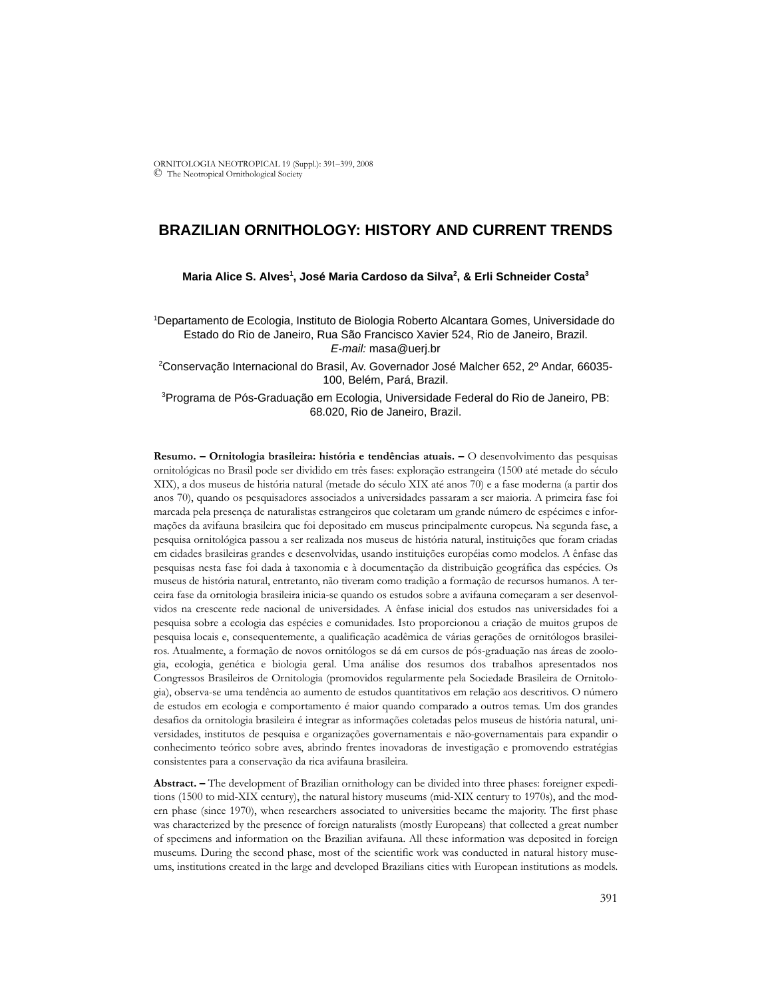# **BRAZILIAN ORNITHOLOGY: HISTORY AND CURRENT TRENDS**

### **Maria Alice S. Alves1 , José Maria Cardoso da Silva2 , & Erli Schneider Costa3**

1 Departamento de Ecologia, Instituto de Biologia Roberto Alcantara Gomes, Universidade do Estado do Rio de Janeiro, Rua São Francisco Xavier 524, Rio de Janeiro, Brazil. *E-mail:* masa@uerj.br

2 Conservação Internacional do Brasil, Av. Governador José Malcher 652, 2º Andar, 66035- 100, Belém, Pará, Brazil.

<sup>3</sup>Programa de Pós-Graduação em Ecologia, Universidade Federal do Rio de Janeiro, PB: 68.020, Rio de Janeiro, Brazil.

**Resumo. – Ornitologia brasileira: história e tendências atuais. –** O desenvolvimento das pesquisas ornitológicas no Brasil pode ser dividido em três fases: exploração estrangeira (1500 até metade do século XIX), a dos museus de história natural (metade do século XIX até anos 70) e a fase moderna (a partir dos anos 70), quando os pesquisadores associados a universidades passaram a ser maioria. A primeira fase foi marcada pela presença de naturalistas estrangeiros que coletaram um grande número de espécimes e informações da avifauna brasileira que foi depositado em museus principalmente europeus. Na segunda fase, a pesquisa ornitológica passou a ser realizada nos museus de história natural, instituições que foram criadas em cidades brasileiras grandes e desenvolvidas, usando instituições européias como modelos. A ênfase das pesquisas nesta fase foi dada à taxonomia e à documentação da distribuição geográfica das espécies. Os museus de história natural, entretanto, não tiveram como tradição a formação de recursos humanos. A terceira fase da ornitologia brasileira inicia-se quando os estudos sobre a avifauna começaram a ser desenvolvidos na crescente rede nacional de universidades. A ênfase inicial dos estudos nas universidades foi a pesquisa sobre a ecologia das espécies e comunidades. Isto proporcionou a criação de muitos grupos de pesquisa locais e, consequentemente, a qualificação acadêmica de várias gerações de ornitólogos brasileiros. Atualmente, a formação de novos ornitólogos se dá em cursos de pós-graduação nas áreas de zoologia, ecologia, genética e biologia geral. Uma análise dos resumos dos trabalhos apresentados nos Congressos Brasileiros de Ornitologia (promovidos regularmente pela Sociedade Brasileira de Ornitologia), observa-se uma tendência ao aumento de estudos quantitativos em relação aos descritivos. O número de estudos em ecologia e comportamento é maior quando comparado a outros temas. Um dos grandes desafios da ornitologia brasileira é integrar as informações coletadas pelos museus de história natural, universidades, institutos de pesquisa e organizações governamentais e não-governamentais para expandir o conhecimento teórico sobre aves, abrindo frentes inovadoras de investigação e promovendo estratégias consistentes para a conservação da rica avifauna brasileira.

**Abstract. –** The development of Brazilian ornithology can be divided into three phases: foreigner expeditions (1500 to mid-XIX century), the natural history museums (mid-XIX century to 1970s), and the modern phase (since 1970), when researchers associated to universities became the majority. The first phase was characterized by the presence of foreign naturalists (mostly Europeans) that collected a great number of specimens and information on the Brazilian avifauna. All these information was deposited in foreign museums. During the second phase, most of the scientific work was conducted in natural history museums, institutions created in the large and developed Brazilians cities with European institutions as models.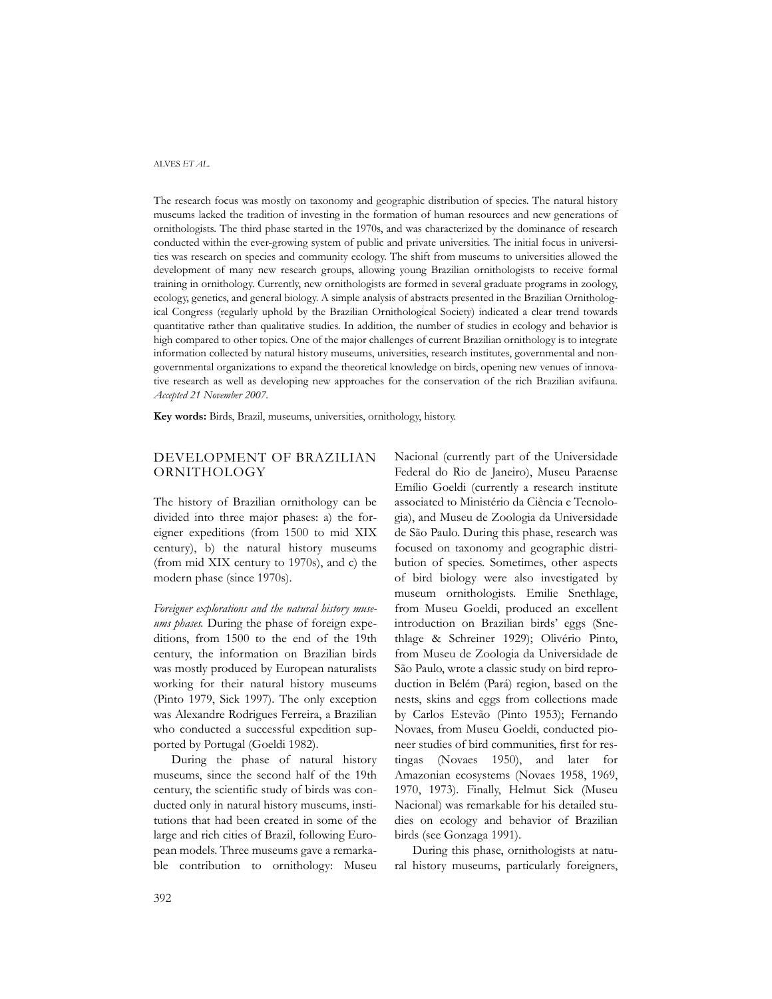The research focus was mostly on taxonomy and geographic distribution of species. The natural history museums lacked the tradition of investing in the formation of human resources and new generations of ornithologists. The third phase started in the 1970s, and was characterized by the dominance of research conducted within the ever-growing system of public and private universities. The initial focus in universities was research on species and community ecology. The shift from museums to universities allowed the development of many new research groups, allowing young Brazilian ornithologists to receive formal training in ornithology. Currently, new ornithologists are formed in several graduate programs in zoology, ecology, genetics, and general biology. A simple analysis of abstracts presented in the Brazilian Ornithological Congress (regularly uphold by the Brazilian Ornithological Society) indicated a clear trend towards quantitative rather than qualitative studies. In addition, the number of studies in ecology and behavior is high compared to other topics. One of the major challenges of current Brazilian ornithology is to integrate information collected by natural history museums, universities, research institutes, governmental and nongovernmental organizations to expand the theoretical knowledge on birds, opening new venues of innovative research as well as developing new approaches for the conservation of the rich Brazilian avifauna. *Accepted 21 November 2007.*

**Key words:** Birds, Brazil, museums, universities, ornithology, history.

## DEVELOPMENT OF BRAZILIAN ORNITHOLOGY

The history of Brazilian ornithology can be divided into three major phases: a) the foreigner expeditions (from 1500 to mid XIX century), b) the natural history museums (from mid XIX century to 1970s), and c) the modern phase (since 1970s).

*Foreigner explorations and the natural history museums phases.* During the phase of foreign expeditions, from 1500 to the end of the 19th century, the information on Brazilian birds was mostly produced by European naturalists working for their natural history museums (Pinto 1979, Sick 1997). The only exception was Alexandre Rodrigues Ferreira, a Brazilian who conducted a successful expedition supported by Portugal (Goeldi 1982).

During the phase of natural history museums, since the second half of the 19th century, the scientific study of birds was conducted only in natural history museums, institutions that had been created in some of the large and rich cities of Brazil, following European models. Three museums gave a remarkable contribution to ornithology: Museu Nacional (currently part of the Universidade Federal do Rio de Janeiro), Museu Paraense Emílio Goeldi (currently a research institute associated to Ministério da Ciência e Tecnologia), and Museu de Zoologia da Universidade de São Paulo. During this phase, research was focused on taxonomy and geographic distribution of species. Sometimes, other aspects of bird biology were also investigated by museum ornithologists. Emilie Snethlage, from Museu Goeldi, produced an excellent introduction on Brazilian birds' eggs (Snethlage & Schreiner 1929); Olivério Pinto, from Museu de Zoologia da Universidade de São Paulo, wrote a classic study on bird reproduction in Belém (Pará) region, based on the nests, skins and eggs from collections made by Carlos Estevão (Pinto 1953); Fernando Novaes, from Museu Goeldi, conducted pioneer studies of bird communities, first for restingas (Novaes 1950), and later for Amazonian ecosystems (Novaes 1958, 1969, 1970, 1973). Finally, Helmut Sick (Museu Nacional) was remarkable for his detailed studies on ecology and behavior of Brazilian birds (see Gonzaga 1991).

During this phase, ornithologists at natural history museums, particularly foreigners,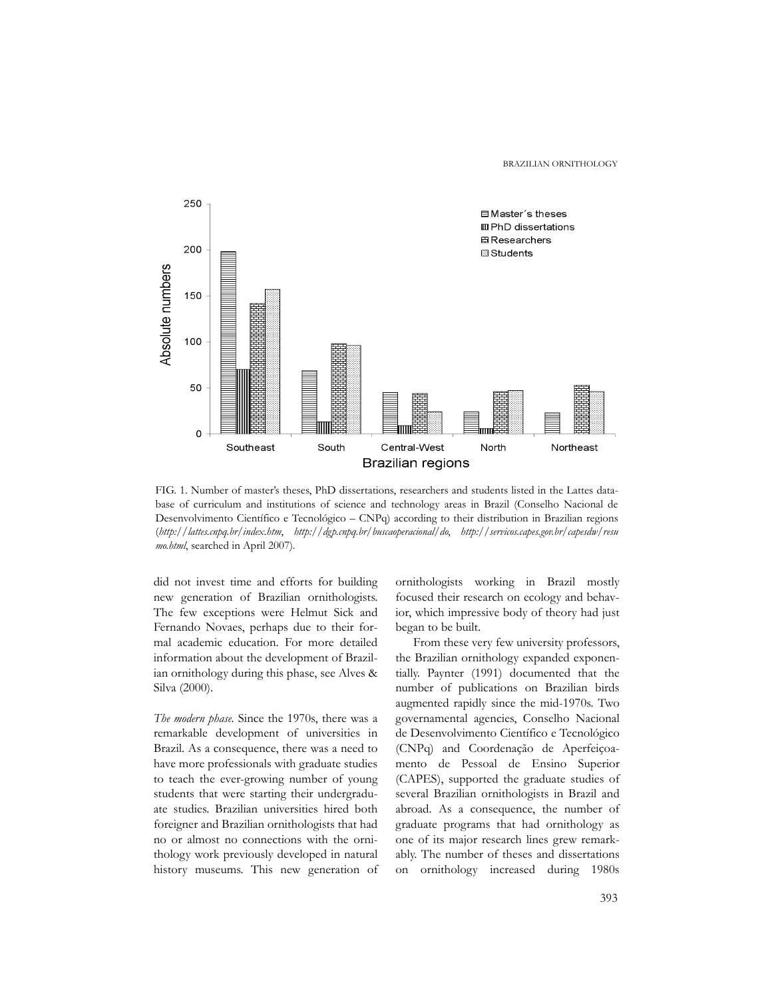BRAZILIAN ORNITHOLOGY



FIG. 1. Number of master's theses, PhD dissertations, researchers and students listed in the Lattes database of curriculum and institutions of science and technology areas in Brazil (Conselho Nacional de Desenvolvimento Científico e Tecnológico – CNPq) according to their distribution in Brazilian regions (*http://lattes.cnpq.br/index.htm*, *http://dgp.cnpq.br/buscaoperacional/do*, *http://servicos.capes.gov.br/capesdw/resu mo.html*, searched in April 2007).

did not invest time and efforts for building new generation of Brazilian ornithologists. The few exceptions were Helmut Sick and Fernando Novaes, perhaps due to their formal academic education. For more detailed information about the development of Brazilian ornithology during this phase, see Alves & Silva (2000).

*The modern phase.* Since the 1970s, there was a remarkable development of universities in Brazil. As a consequence, there was a need to have more professionals with graduate studies to teach the ever-growing number of young students that were starting their undergraduate studies. Brazilian universities hired both foreigner and Brazilian ornithologists that had no or almost no connections with the ornithology work previously developed in natural history museums. This new generation of

ornithologists working in Brazil mostly focused their research on ecology and behavior, which impressive body of theory had just began to be built.

From these very few university professors, the Brazilian ornithology expanded exponentially. Paynter (1991) documented that the number of publications on Brazilian birds augmented rapidly since the mid-1970s. Two governamental agencies, Conselho Nacional de Desenvolvimento Científico e Tecnológico (CNPq) and Coordenação de Aperfeiçoamento de Pessoal de Ensino Superior (CAPES), supported the graduate studies of several Brazilian ornithologists in Brazil and abroad. As a consequence, the number of graduate programs that had ornithology as one of its major research lines grew remarkably. The number of theses and dissertations on ornithology increased during 1980s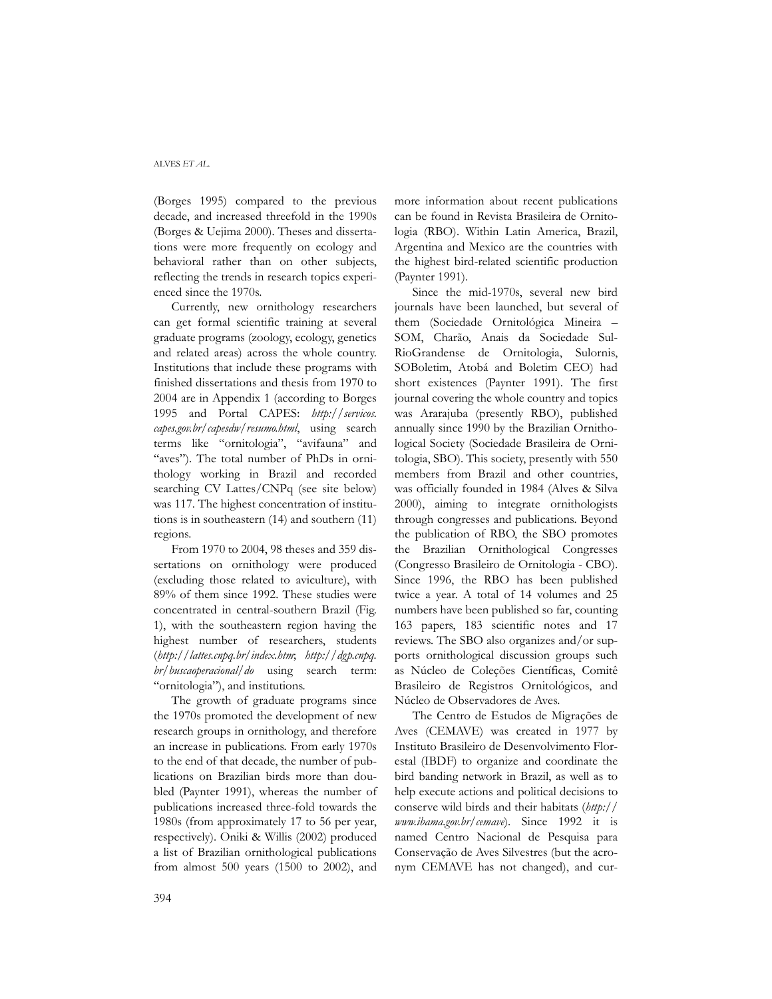(Borges 1995) compared to the previous decade, and increased threefold in the 1990s (Borges & Uejima 2000). Theses and dissertations were more frequently on ecology and behavioral rather than on other subjects, reflecting the trends in research topics experienced since the 1970s.

Currently, new ornithology researchers can get formal scientific training at several graduate programs (zoology, ecology, genetics and related areas) across the whole country. Institutions that include these programs with finished dissertations and thesis from 1970 to 2004 are in Appendix 1 (according to Borges 1995 and Portal CAPES: *http://servicos. capes.gov.br/capesdw/resumo.html*, using search terms like "ornitologia", "avifauna" and "aves"). The total number of PhDs in ornithology working in Brazil and recorded searching CV Lattes/CNPq (see site below) was 117. The highest concentration of institutions is in southeastern (14) and southern (11) regions.

From 1970 to 2004, 98 theses and 359 dissertations on ornithology were produced (excluding those related to aviculture), with 89% of them since 1992. These studies were concentrated in central-southern Brazil (Fig. 1), with the southeastern region having the highest number of researchers, students (*http://lattes.cnpq.br/index.htm*; *http://dgp.cnpq. br/buscaoperacional/do* using search term: "ornitologia"), and institutions.

The growth of graduate programs since the 1970s promoted the development of new research groups in ornithology, and therefore an increase in publications. From early 1970s to the end of that decade, the number of publications on Brazilian birds more than doubled (Paynter 1991), whereas the number of publications increased three-fold towards the 1980s (from approximately 17 to 56 per year, respectively). Oniki & Willis (2002) produced a list of Brazilian ornithological publications from almost 500 years (1500 to 2002), and

more information about recent publications can be found in Revista Brasileira de Ornitologia (RBO). Within Latin America, Brazil, Argentina and Mexico are the countries with the highest bird-related scientific production (Paynter 1991).

Since the mid-1970s, several new bird journals have been launched, but several of them (Sociedade Ornitológica Mineira – SOM, Charão, Anais da Sociedade Sul-RioGrandense de Ornitologia, Sulornis, SOBoletim, Atobá and Boletim CEO) had short existences (Paynter 1991). The first journal covering the whole country and topics was Ararajuba (presently RBO), published annually since 1990 by the Brazilian Ornithological Society (Sociedade Brasileira de Ornitologia, SBO). This society, presently with 550 members from Brazil and other countries, was officially founded in 1984 (Alves & Silva 2000), aiming to integrate ornithologists through congresses and publications. Beyond the publication of RBO, the SBO promotes the Brazilian Ornithological Congresses (Congresso Brasileiro de Ornitologia - CBO). Since 1996, the RBO has been published twice a year. A total of 14 volumes and 25 numbers have been published so far, counting 163 papers, 183 scientific notes and 17 reviews. The SBO also organizes and/or supports ornithological discussion groups such as Núcleo de Coleções Científicas, Comitê Brasileiro de Registros Ornitológicos, and Núcleo de Observadores de Aves.

The Centro de Estudos de Migrações de Aves (CEMAVE) was created in 1977 by Instituto Brasileiro de Desenvolvimento Florestal (IBDF) to organize and coordinate the bird banding network in Brazil, as well as to help execute actions and political decisions to conserve wild birds and their habitats (*http:// www.ibama.gov.br/cemave*). Since 1992 it is named Centro Nacional de Pesquisa para Conservação de Aves Silvestres (but the acronym CEMAVE has not changed), and cur-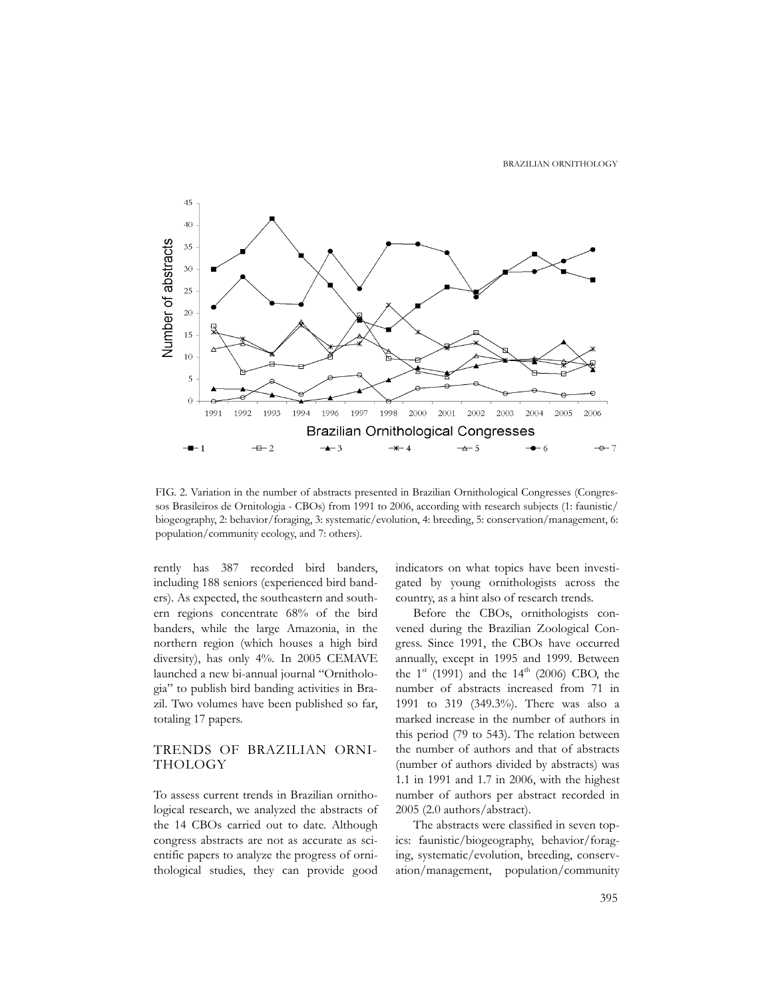

FIG. 2. Variation in the number of abstracts presented in Brazilian Ornithological Congresses (Congressos Brasileiros de Ornitologia - CBOs) from 1991 to 2006, according with research subjects (1: faunistic/ biogeography, 2: behavior/foraging, 3: systematic/evolution, 4: breeding, 5: conservation/management, 6: population/community ecology, and 7: others).

rently has 387 recorded bird banders, including 188 seniors (experienced bird banders). As expected, the southeastern and southern regions concentrate 68% of the bird banders, while the large Amazonia, in the northern region (which houses a high bird diversity), has only 4%. In 2005 CEMAVE launched a new bi-annual journal "Ornithologia" to publish bird banding activities in Brazil. Two volumes have been published so far, totaling 17 papers.

## TRENDS OF BRAZILIAN ORNI-THOLOGY

To assess current trends in Brazilian ornithological research, we analyzed the abstracts of the 14 CBOs carried out to date. Although congress abstracts are not as accurate as scientific papers to analyze the progress of ornithological studies, they can provide good indicators on what topics have been investigated by young ornithologists across the country, as a hint also of research trends.

Before the CBOs, ornithologists convened during the Brazilian Zoological Congress. Since 1991, the CBOs have occurred annually, except in 1995 and 1999. Between the  $1^{st}$  (1991) and the  $14^{th}$  (2006) CBO, the number of abstracts increased from 71 in 1991 to 319 (349.3%). There was also a marked increase in the number of authors in this period (79 to 543). The relation between the number of authors and that of abstracts (number of authors divided by abstracts) was 1.1 in 1991 and 1.7 in 2006, with the highest number of authors per abstract recorded in 2005 (2.0 authors/abstract).

The abstracts were classified in seven topics: faunistic/biogeography, behavior/foraging, systematic/evolution, breeding, conservation/management, population/community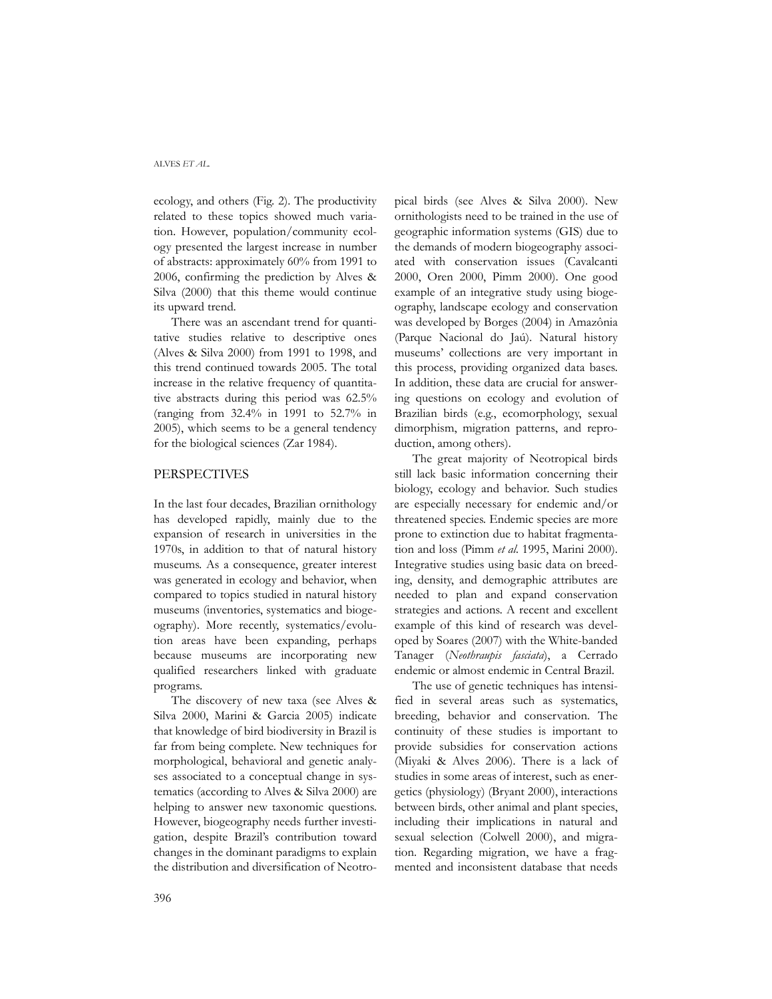ecology, and others (Fig. 2). The productivity related to these topics showed much variation. However, population/community ecology presented the largest increase in number of abstracts: approximately 60% from 1991 to 2006, confirming the prediction by Alves & Silva (2000) that this theme would continue its upward trend.

There was an ascendant trend for quantitative studies relative to descriptive ones (Alves & Silva 2000) from 1991 to 1998, and this trend continued towards 2005. The total increase in the relative frequency of quantitative abstracts during this period was 62.5% (ranging from 32.4% in 1991 to 52.7% in 2005), which seems to be a general tendency for the biological sciences (Zar 1984).

## PERSPECTIVES

In the last four decades, Brazilian ornithology has developed rapidly, mainly due to the expansion of research in universities in the 1970s, in addition to that of natural history museums. As a consequence, greater interest was generated in ecology and behavior, when compared to topics studied in natural history museums (inventories, systematics and biogeography). More recently, systematics/evolution areas have been expanding, perhaps because museums are incorporating new qualified researchers linked with graduate programs.

The discovery of new taxa (see Alves & Silva 2000, Marini & Garcia 2005) indicate that knowledge of bird biodiversity in Brazil is far from being complete. New techniques for morphological, behavioral and genetic analyses associated to a conceptual change in systematics (according to Alves & Silva 2000) are helping to answer new taxonomic questions. However, biogeography needs further investigation, despite Brazil's contribution toward changes in the dominant paradigms to explain the distribution and diversification of Neotropical birds (see Alves & Silva 2000). New ornithologists need to be trained in the use of geographic information systems (GIS) due to the demands of modern biogeography associated with conservation issues (Cavalcanti 2000, Oren 2000, Pimm 2000). One good example of an integrative study using biogeography, landscape ecology and conservation was developed by Borges (2004) in Amazônia (Parque Nacional do Jaú). Natural history museums' collections are very important in this process, providing organized data bases. In addition, these data are crucial for answering questions on ecology and evolution of Brazilian birds (e.g., ecomorphology, sexual dimorphism, migration patterns, and reproduction, among others).

The great majority of Neotropical birds still lack basic information concerning their biology, ecology and behavior. Such studies are especially necessary for endemic and/or threatened species. Endemic species are more prone to extinction due to habitat fragmentation and loss (Pimm *et al*. 1995, Marini 2000). Integrative studies using basic data on breeding, density, and demographic attributes are needed to plan and expand conservation strategies and actions. A recent and excellent example of this kind of research was developed by Soares (2007) with the White-banded Tanager (*Neothraupis fasciata*), a Cerrado endemic or almost endemic in Central Brazil.

The use of genetic techniques has intensified in several areas such as systematics, breeding, behavior and conservation. The continuity of these studies is important to provide subsidies for conservation actions (Miyaki & Alves 2006). There is a lack of studies in some areas of interest, such as energetics (physiology) (Bryant 2000), interactions between birds, other animal and plant species, including their implications in natural and sexual selection (Colwell 2000), and migration. Regarding migration, we have a fragmented and inconsistent database that needs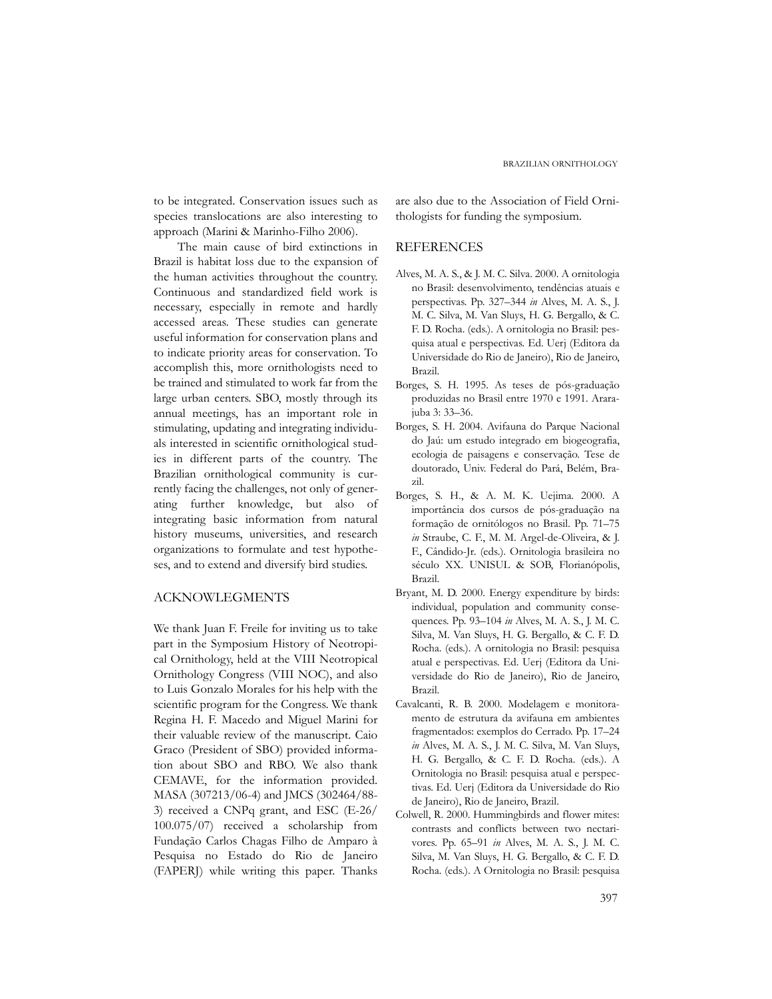to be integrated. Conservation issues such as species translocations are also interesting to approach (Marini & Marinho-Filho 2006).

 The main cause of bird extinctions in Brazil is habitat loss due to the expansion of the human activities throughout the country. Continuous and standardized field work is necessary, especially in remote and hardly accessed areas. These studies can generate useful information for conservation plans and to indicate priority areas for conservation. To accomplish this, more ornithologists need to be trained and stimulated to work far from the large urban centers. SBO, mostly through its annual meetings, has an important role in stimulating, updating and integrating individuals interested in scientific ornithological studies in different parts of the country. The Brazilian ornithological community is currently facing the challenges, not only of generating further knowledge, but also of integrating basic information from natural history museums, universities, and research organizations to formulate and test hypotheses, and to extend and diversify bird studies.

## ACKNOWLEGMENTS

We thank Juan F. Freile for inviting us to take part in the Symposium History of Neotropical Ornithology, held at the VIII Neotropical Ornithology Congress (VIII NOC), and also to Luis Gonzalo Morales for his help with the scientific program for the Congress. We thank Regina H. F. Macedo and Miguel Marini for their valuable review of the manuscript. Caio Graco (President of SBO) provided information about SBO and RBO. We also thank CEMAVE, for the information provided. MASA (307213/06-4) and JMCS (302464/88- 3) received a CNPq grant, and ESC (E-26/ 100.075/07) received a scholarship from Fundação Carlos Chagas Filho de Amparo à Pesquisa no Estado do Rio de Janeiro (FAPERJ) while writing this paper. Thanks are also due to the Association of Field Ornithologists for funding the symposium.

### REFERENCES

- Alves, M. A. S., & J. M. C. Silva. 2000. A ornitologia no Brasil: desenvolvimento, tendências atuais e perspectivas. Pp. 327–344 *in* Alves, M. A. S., J. M. C. Silva, M. Van Sluys, H. G. Bergallo, & C. F. D. Rocha. (eds.). A ornitologia no Brasil: pesquisa atual e perspectivas. Ed. Uerj (Editora da Universidade do Rio de Janeiro), Rio de Janeiro, Brazil.
- Borges, S. H. 1995. As teses de pós-graduação produzidas no Brasil entre 1970 e 1991. Ararajuba 3: 33–36.
- Borges, S. H. 2004. Avifauna do Parque Nacional do Jaú: um estudo integrado em biogeografia, ecologia de paisagens e conservação. Tese de doutorado, Univ. Federal do Pará, Belém, Brazil.
- Borges, S. H., & A. M. K. Uejima. 2000. A importância dos cursos de pós-graduação na formação de ornitólogos no Brasil. Pp. 71–75 *in* Straube, C. F., M. M. Argel-de-Oliveira, & J. F., Cândido-Jr. (eds.). Ornitologia brasileira no século XX. UNISUL & SOB, Florianópolis, Brazil.
- Bryant, M. D. 2000. Energy expenditure by birds: individual, population and community consequences. Pp. 93–104 *in* Alves, M. A. S., J. M. C. Silva, M. Van Sluys, H. G. Bergallo, & C. F. D. Rocha. (eds.). A ornitologia no Brasil: pesquisa atual e perspectivas. Ed. Uerj (Editora da Universidade do Rio de Janeiro), Rio de Janeiro, Brazil.
- Cavalcanti, R. B. 2000. Modelagem e monitoramento de estrutura da avifauna em ambientes fragmentados: exemplos do Cerrado. Pp. 17–24 *in* Alves, M. A. S., J. M. C. Silva, M. Van Sluys, H. G. Bergallo, & C. F. D. Rocha. (eds.). A Ornitologia no Brasil: pesquisa atual e perspectivas. Ed. Uerj (Editora da Universidade do Rio de Janeiro), Rio de Janeiro, Brazil.
- Colwell, R. 2000. Hummingbirds and flower mites: contrasts and conflicts between two nectarivores. Pp. 65–91 *in* Alves, M. A. S., J. M. C. Silva, M. Van Sluys, H. G. Bergallo, & C. F. D. Rocha. (eds.). A Ornitologia no Brasil: pesquisa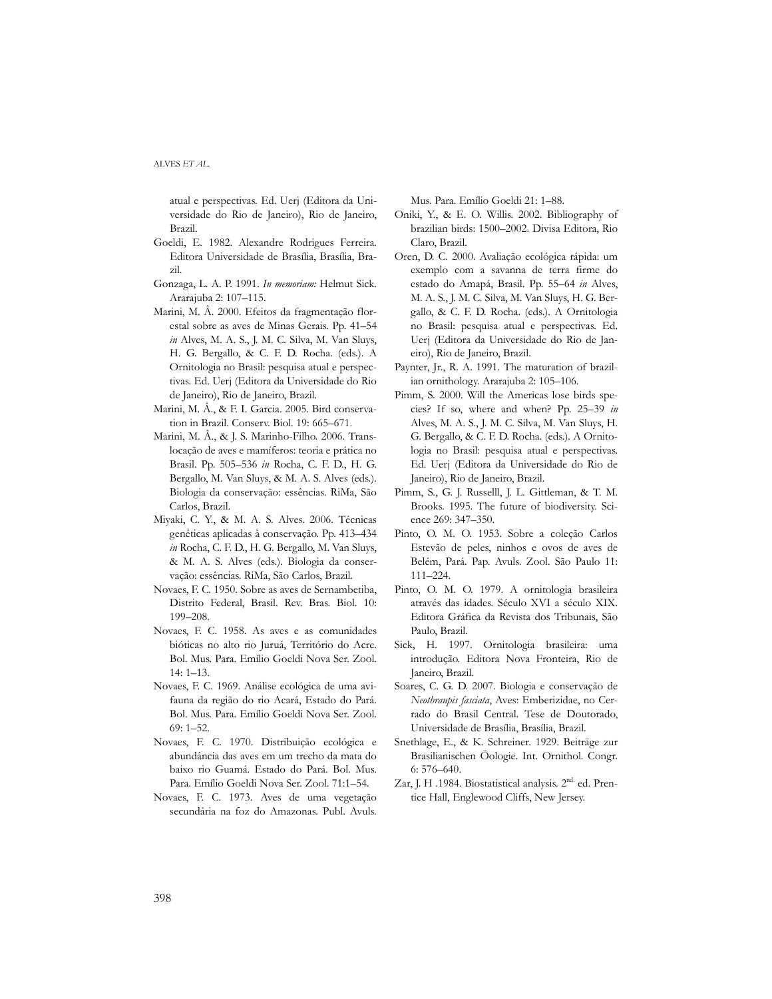atual e perspectivas. Ed. Uerj (Editora da Universidade do Rio de Janeiro), Rio de Janeiro, Brazil.

- Goeldi, E. 1982. Alexandre Rodrigues Ferreira. Editora Universidade de Brasília, Brasília, Brazil.
- Gonzaga, L. A. P. 1991. *In memoriam:* Helmut Sick. Ararajuba 2: 107–115.
- Marini, M. Â. 2000. Efeitos da fragmentação florestal sobre as aves de Minas Gerais. Pp. 41–54 *in* Alves, M. A. S., J. M. C. Silva, M. Van Sluys, H. G. Bergallo, & C. F. D. Rocha. (eds.). A Ornitologia no Brasil: pesquisa atual e perspectivas. Ed. Uerj (Editora da Universidade do Rio de Janeiro), Rio de Janeiro, Brazil.
- Marini, M. Â., & F. I. Garcia. 2005. Bird conservation in Brazil. Conserv. Biol*.* 19: 665–671.
- Marini, M. Â., & J. S. Marinho-Filho. 2006. Translocação de aves e mamíferos: teoria e prática no Brasil. Pp. 505–536 *in* Rocha, C. F. D., H. G. Bergallo, M. Van Sluys, & M. A. S. Alves (eds.). Biologia da conservação: essências. RiMa, São Carlos, Brazil.
- Miyaki, C. Y., & M. A. S. Alves. 2006. Técnicas genéticas aplicadas à conservação. Pp. 413–434 *in* Rocha, C. F. D., H. G. Bergallo, M. Van Sluys, & M. A. S. Alves (eds.). Biologia da conservação: essências. RiMa, São Carlos, Brazil.
- Novaes, F. C. 1950. Sobre as aves de Sernambetiba, Distrito Federal, Brasil. Rev. Bras. Biol. 10: 199–208.
- Novaes, F. C. 1958. As aves e as comunidades bióticas no alto rio Juruá, Território do Acre. Bol. Mus. Para. Emílio Goeldi Nova Ser. Zool. 14: 1–13.
- Novaes, F. C. 1969. Análise ecológica de uma avifauna da região do rio Acará, Estado do Pará. Bol. Mus. Para. Emílio Goeldi Nova Ser. Zool. 69: 1–52.
- Novaes, F. C. 1970. Distribuição ecológica e abundância das aves em um trecho da mata do baixo rio Guamá. Estado do Pará. Bol. Mus. Para. Emílio Goeldi Nova Ser. Zool. 71:1–54.
- Novaes, F. C. 1973. Aves de uma vegetação secundária na foz do Amazonas. Publ. Avuls.

Mus. Para. Emílio Goeldi 21: 1–88.

- Oniki, Y., & E. O. Willis. 2002. Bibliography of brazilian birds: 1500–2002. Divisa Editora, Rio Claro, Brazil.
- Oren, D. C. 2000. Avaliação ecológica rápida: um exemplo com a savanna de terra firme do estado do Amapá, Brasil. Pp. 55–64 *in* Alves, M. A. S., J. M. C. Silva, M. Van Sluys, H. G. Bergallo, & C. F. D. Rocha. (eds.). A Ornitologia no Brasil: pesquisa atual e perspectivas. Ed. Uerj (Editora da Universidade do Rio de Janeiro), Rio de Janeiro, Brazil.
- Paynter, Jr., R. A. 1991. The maturation of brazilian ornithology. Ararajuba 2: 105–106.
- Pimm, S. 2000. Will the Americas lose birds species? If so, where and when? Pp. 25–39 *in* Alves, M. A. S., J. M. C. Silva, M. Van Sluys, H. G. Bergallo, & C. F. D. Rocha. (eds.). A Ornitologia no Brasil: pesquisa atual e perspectivas. Ed. Uerj (Editora da Universidade do Rio de Janeiro), Rio de Janeiro, Brazil.
- Pimm, S., G. J. Russelll, J. L. Gittleman, & T. M. Brooks. 1995. The future of biodiversity. Science 269: 347–350.
- Pinto, O. M. O. 1953. Sobre a coleção Carlos Estevão de peles, ninhos e ovos de aves de Belém, Pará. Pap. Avuls. Zool. São Paulo 11: 111–224.
- Pinto, O. M. O. 1979. A ornitologia brasileira através das idades. Século XVI a século XIX. Editora Gráfica da Revista dos Tribunais, São Paulo, Brazil.
- Sick, H. 1997. Ornitologia brasileira: uma introdução. Editora Nova Fronteira, Rio de Janeiro, Brazil.
- Soares, C. G. D. 2007. Biologia e conservação de *Neothraupis fasciata*, Aves: Emberizidae, no Cerrado do Brasil Central. Tese de Doutorado, Universidade de Brasília, Brasília, Brazil.
- Snethlage, E., & K. Schreiner. 1929. Beiträge zur Brasilianischen Öologie. Int. Ornithol. Congr. 6: 576–640.
- Zar, J. H .1984. Biostatistical analysis. 2<sup>nd.</sup> ed. Prentice Hall, Englewood Cliffs, New Jersey.